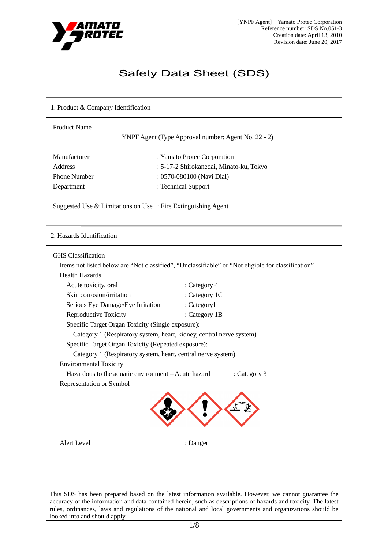

# Safety Data Sheet (SDS)

# 1. Product & Company Identification

| <b>Product Name</b> | YNPF Agent (Type Approval number: Agent No. 22 - 2) |
|---------------------|-----------------------------------------------------|
| Manufacturer        | : Yamato Protec Corporation                         |
| <b>Address</b>      | : 5-17-2 Shirokanedai, Minato-ku, Tokyo             |
| <b>Phone Number</b> | : 0570-080100 (Navi Dial)                           |
| Department          | : Technical Support                                 |
|                     |                                                     |

Suggested Use & Limitations on Use : Fire Extinguishing Agent

#### 2. Hazards Identification

#### GHS Classification

Items not listed below are "Not classified", "Unclassifiable" or "Not eligible for classification"

Health Hazards

| Acute toxicity, oral                                                 | : Category 4    |              |
|----------------------------------------------------------------------|-----------------|--------------|
| Skin corrosion/irritation                                            | : Category 1C   |              |
| Serious Eye Damage/Eye Irritation                                    | : $Categorical$ |              |
| Reproductive Toxicity                                                | : Category 1B   |              |
| Specific Target Organ Toxicity (Single exposure):                    |                 |              |
| Category 1 (Respiratory system, heart, kidney, central nerve system) |                 |              |
| Specific Target Organ Toxicity (Repeated exposure):                  |                 |              |
| Category 1 (Respiratory system, heart, central nerve system)         |                 |              |
| <b>Environmental Toxicity</b>                                        |                 |              |
| Hazardous to the aquatic environment - Acute hazard                  |                 | : Category 3 |
| Representation or Symbol                                             |                 |              |
|                                                                      |                 |              |

Alert Level : Danger

This SDS has been prepared based on the latest information available. However, we cannot guarantee the accuracy of the information and data contained herein, such as descriptions of hazards and toxicity. The latest rules, ordinances, laws and regulations of the national and local governments and organizations should be looked into and should apply.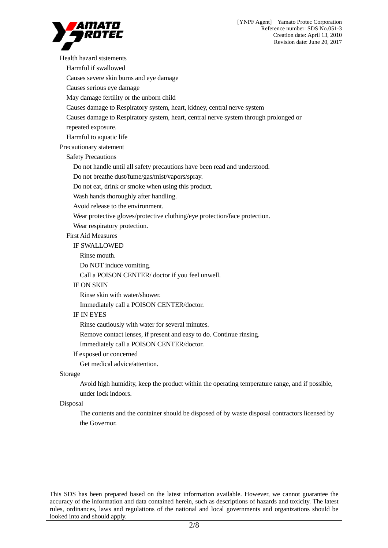

Health hazard ststements Harmful if swallowed Causes severe skin burns and eye damage Causes serious eye damage May damage fertility or the unborn child Causes damage to Respiratory system, heart, kidney, central nerve system Causes damage to Respiratory system, heart, central nerve system through prolonged or repeated exposure. Harmful to aquatic life Precautionary statement Safety Precautions Do not handle until all safety precautions have been read and understood. Do not breathe dust/fume/gas/mist/vapors/spray. Do not eat, drink or smoke when using this product. Wash hands thoroughly after handling. Avoid release to the environment. Wear protective gloves/protective clothing/eye protection/face protection. Wear respiratory protection. First Aid Measures IF SWALLOWED Rinse mouth. Do NOT induce vomiting. Call a POISON CENTER/ doctor if you feel unwell. IF ON SKIN Rinse skin with water/shower. Immediately call a POISON CENTER/doctor. IF IN EYES Rinse cautiously with water for several minutes. Remove contact lenses, if present and easy to do. Continue rinsing. Immediately call a POISON CENTER/doctor. If exposed or concerned Get medical advice/attention. Storage

Avoid high humidity, keep the product within the operating temperature range, and if possible, under lock indoors.

#### Disposal

The contents and the container should be disposed of by waste disposal contractors licensed by the Governor.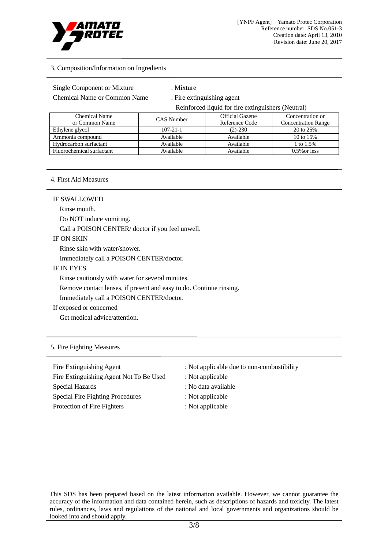

# 3. Composition/Information on Ingredients

## Single Component or Mixture : Mixture :

Chemical Name or Common Name : Fire extinguishing agent

Reinforced liquid for fire extinguishers (Neutral)

| <b>Chemical Name</b>      | CAS Number     | <b>Official Gazette</b> | Concentration or           |
|---------------------------|----------------|-------------------------|----------------------------|
| or Common Name            |                | Reference Code          | <b>Concentration Range</b> |
| Ethylene glycol           | $107 - 21 - 1$ | $(2) - 230$             | 20 to 25%                  |
| Ammonia compound          | Available      | Available               | 10 to 15%                  |
| Hydrocarbon surfactant    | Available      | Available               | 1 to 1.5%                  |
| Fluorochemical surfactant | Available      | Available               | $0.5\%$ or less            |

#### 4. First Aid Measures

#### IF SWALLOWED

Rinse mouth.

Do NOT induce vomiting.

Call a POISON CENTER/ doctor if you feel unwell.

# IF ON SKIN

Rinse skin with water/shower.

Immediately call a POISON CENTER/doctor.

#### IF IN EYES

Rinse cautiously with water for several minutes.

Remove contact lenses, if present and easy to do. Continue rinsing.

Immediately call a POISON CENTER/doctor.

# If exposed or concerned

Get medical advice/attention.

# 5. Fire Fighting Measures

Fire Extinguishing Agent Not To Be Used : Not applicable Special Hazards : No data available Special Fire Fighting Procedures : Not applicable Protection of Fire Fighters : Not applicable

- Fire Extinguishing Agent : Not applicable due to non-combustibility
	-
	-
	-
	-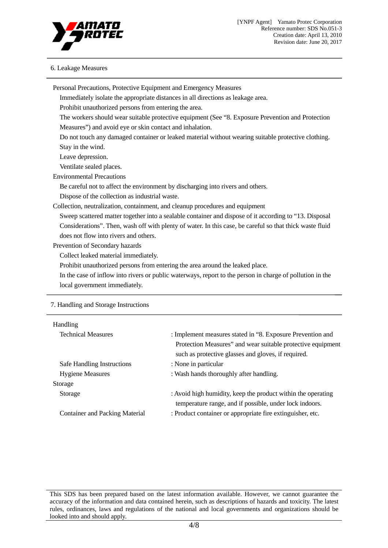

# 6. Leakage Measures

| Personal Precautions, Protective Equipment and Emergency Measures                |                                                                                                           |  |
|----------------------------------------------------------------------------------|-----------------------------------------------------------------------------------------------------------|--|
| Immediately isolate the appropriate distances in all directions as leakage area. |                                                                                                           |  |
| Prohibit unauthorized persons from entering the area.                            |                                                                                                           |  |
|                                                                                  | The workers should wear suitable protective equipment (See "8. Exposure Prevention and Protection         |  |
| Measures") and avoid eye or skin contact and inhalation.                         |                                                                                                           |  |
|                                                                                  | Do not touch any damaged container or leaked material without wearing suitable protective clothing.       |  |
| Stay in the wind.                                                                |                                                                                                           |  |
| Leave depression.                                                                |                                                                                                           |  |
| Ventilate sealed places.                                                         |                                                                                                           |  |
| <b>Environmental Precautions</b>                                                 |                                                                                                           |  |
| Be careful not to affect the environment by discharging into rivers and others.  |                                                                                                           |  |
| Dispose of the collection as industrial waste.                                   |                                                                                                           |  |
| Collection, neutralization, containment, and cleanup procedures and equipment    |                                                                                                           |  |
|                                                                                  | Sweep scattered matter together into a sealable container and dispose of it according to "13. Disposal    |  |
|                                                                                  | Considerations". Then, wash off with plenty of water. In this case, be careful so that thick waste fluid  |  |
| does not flow into rivers and others.                                            |                                                                                                           |  |
| Prevention of Secondary hazards                                                  |                                                                                                           |  |
| Collect leaked material immediately.                                             |                                                                                                           |  |
| Prohibit unauthorized persons from entering the area around the leaked place.    |                                                                                                           |  |
|                                                                                  | In the case of inflow into rivers or public waterways, report to the person in charge of pollution in the |  |
| local government immediately.                                                    |                                                                                                           |  |
| 7. Handling and Storage Instructions                                             |                                                                                                           |  |
|                                                                                  |                                                                                                           |  |
| Handling                                                                         |                                                                                                           |  |
| <b>Technical Measures</b>                                                        | : Implement measures stated in "8. Exposure Prevention and                                                |  |
|                                                                                  | Protection Measures" and wear suitable protective equipment                                               |  |
|                                                                                  | such as protective glasses and gloves, if required.                                                       |  |
| <b>Safe Handling Instructions</b>                                                | : None in particular                                                                                      |  |
| <b>Hygiene Measures</b>                                                          | : Wash hands thoroughly after handling.                                                                   |  |
|                                                                                  |                                                                                                           |  |

Storage Storage : Avoid high humidity, keep the product within the operating temperature range, and if possible, under lock indoors. Container and Packing Material : Product container or appropriate fire extinguisher, etc.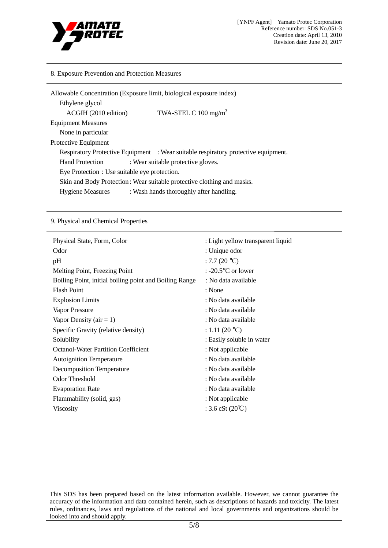

#### 8. Exposure Prevention and Protection Measures

| Allowable Concentration (Exposure limit, biological exposure index) |                                                                                    |  |
|---------------------------------------------------------------------|------------------------------------------------------------------------------------|--|
| Ethylene glycol                                                     |                                                                                    |  |
| ACGIH (2010 edition)                                                | TWA-STEL C $100 \text{ mg/m}^3$                                                    |  |
| <b>Equipment Measures</b>                                           |                                                                                    |  |
| None in particular                                                  |                                                                                    |  |
| Protective Equipment                                                |                                                                                    |  |
|                                                                     | Respiratory Protective Equipment : Wear suitable respiratory protective equipment. |  |
| <b>Hand Protection</b>                                              | : Wear suitable protective gloves.                                                 |  |
| Eye Protection : Use suitable eye protection.                       |                                                                                    |  |
|                                                                     | Skin and Body Protection: Wear suitable protective clothing and masks.             |  |
| <b>Hygiene Measures</b>                                             | : Wash hands thoroughly after handling.                                            |  |

#### 9. Physical and Chemical Properties

| Physical State, Form, Color                            | : Light yellow transparent liquid |
|--------------------------------------------------------|-----------------------------------|
| Odor                                                   | : Unique odor                     |
| pH                                                     | : 7.7 $(20 °C)$                   |
| Melting Point, Freezing Point                          | : -20.5 $\degree$ C or lower      |
| Boiling Point, initial boiling point and Boiling Range | : No data available               |
| <b>Flash Point</b>                                     | : None                            |
| <b>Explosion Limits</b>                                | : No data available               |
| Vapor Pressure                                         | : No data available               |
| Vapor Density ( $air = 1$ )                            | : No data available               |
| Specific Gravity (relative density)                    | : 1.11 (20 °C)                    |
| Solubility                                             | : Easily soluble in water         |
| <b>Octanol-Water Partition Coefficient</b>             | : Not applicable                  |
| <b>Autoignition Temperature</b>                        | : No data available               |
| Decomposition Temperature                              | : No data available               |
| <b>Odor Threshold</b>                                  | : No data available               |
| <b>Evaporation Rate</b>                                | : No data available               |
| Flammability (solid, gas)                              | : Not applicable                  |
| <b>Viscosity</b>                                       | : 3.6 cSt $(20^{\circ}C)$         |
|                                                        |                                   |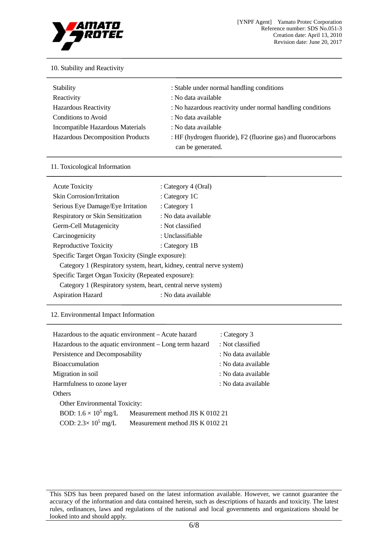

# 10. Stability and Reactivity

| <b>Stability</b>                        | : Stable under normal handling conditions                                          |
|-----------------------------------------|------------------------------------------------------------------------------------|
| Reactivity                              | : No data available                                                                |
| <b>Hazardous Reactivity</b>             | : No hazardous reactivity under normal handling conditions                         |
| Conditions to Avoid                     | : No data available                                                                |
| Incompatible Hazardous Materials        | : No data available                                                                |
| <b>Hazardous Decomposition Products</b> | : HF (hydrogen fluoride), F2 (fluorine gas) and fluorocarbons<br>can be generated. |

#### 11. Toxicological Information

| <b>Acute Toxicity</b>                                                | : Category 4 (Oral) |  |
|----------------------------------------------------------------------|---------------------|--|
| <b>Skin Corrosion/Irritation</b>                                     | : Category $1C$     |  |
| Serious Eye Damage/Eye Irritation                                    | : Category 1        |  |
| Respiratory or Skin Sensitization                                    | : No data available |  |
| Germ-Cell Mutagenicity                                               | : Not classified    |  |
| Carcinogenicity                                                      | : Unclassifiable    |  |
| Reproductive Toxicity                                                | : Category 1B       |  |
| Specific Target Organ Toxicity (Single exposure):                    |                     |  |
| Category 1 (Respiratory system, heart, kidney, central nerve system) |                     |  |
| Specific Target Organ Toxicity (Repeated exposure):                  |                     |  |
| Category 1 (Respiratory system, heart, central nerve system)         |                     |  |
| <b>Aspiration Hazard</b>                                             | : No data available |  |

# 12. Environmental Impact Information

| Hazardous to the aquatic environment – Acute hazard             |                                  | : Category 3        |
|-----------------------------------------------------------------|----------------------------------|---------------------|
| Hazardous to the aquatic environment – Long term hazard         |                                  | : Not classified    |
| Persistence and Decomposability                                 |                                  | : No data available |
| <b>Bioaccumulation</b>                                          |                                  | : No data available |
| Migration in soil                                               |                                  | : No data available |
| Harmfulness to ozone layer                                      |                                  | : No data available |
| <b>Others</b>                                                   |                                  |                     |
| <b>Other Environmental Toxicity:</b>                            |                                  |                     |
| BOD: $1.6 \times 10^5$ mg/L                                     | Measurement method JIS K 0102 21 |                     |
| COD: $2.3 \times 10^5$ mg/L<br>Measurement method JIS K 0102 21 |                                  |                     |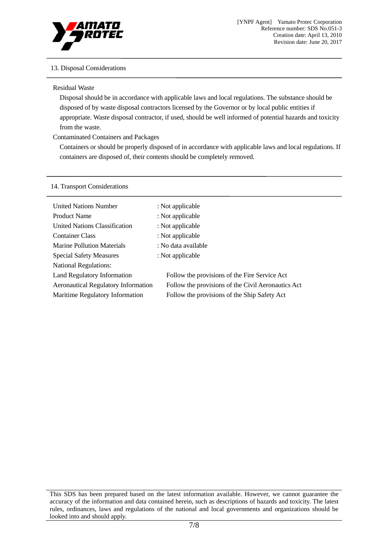

# 13. Disposal Considerations

## Residual Waste

Disposal should be in accordance with applicable laws and local regulations. The substance should be disposed of by waste disposal contractors licensed by the Governor or by local public entities if appropriate. Waste disposal contractor, if used, should be well informed of potential hazards and toxicity from the waste.

# Contaminated Containers and Packages

Containers or should be properly disposed of in accordance with applicable laws and local regulations. If containers are disposed of, their contents should be completely removed.

#### 14. Transport Considerations

| <b>United Nations Number</b>                                                  | : Not applicable                                                                                   |  |
|-------------------------------------------------------------------------------|----------------------------------------------------------------------------------------------------|--|
| <b>Product Name</b><br><b>United Nations Classification</b>                   | : Not applicable<br>: Not applicable                                                               |  |
| <b>Container Class</b>                                                        | : Not applicable                                                                                   |  |
| <b>Marine Pollution Materials</b>                                             | : No data available                                                                                |  |
| <b>Special Safety Measures</b><br><b>National Regulations:</b>                | : Not applicable                                                                                   |  |
| Land Regulatory Information                                                   | Follow the provisions of the Fire Service Act                                                      |  |
| <b>Aeronautical Regulatory Information</b><br>Maritime Regulatory Information | Follow the provisions of the Civil Aeronautics Act<br>Follow the provisions of the Ship Safety Act |  |

This SDS has been prepared based on the latest information available. However, we cannot guarantee the accuracy of the information and data contained herein, such as descriptions of hazards and toxicity. The latest rules, ordinances, laws and regulations of the national and local governments and organizations should be looked into and should apply.